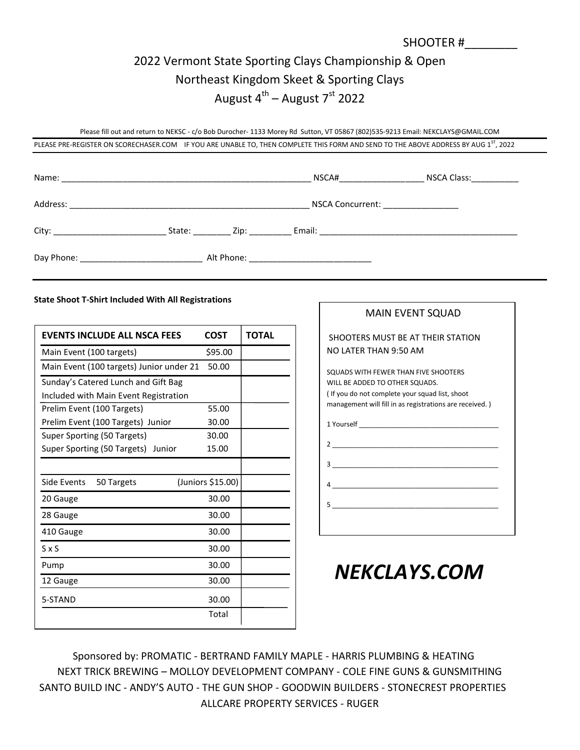## 2022 Vermont State Sporting Clays Championship & Open Northeast Kingdom Skeet & Sporting Clays August 4<sup>th</sup> – August 7<sup>st</sup> 2022

Please fill out and return to NEKSC - c/o Bob Durocher- 1133 Morey Rd Sutton, VT 05867 (802)535-9213 Email: NEKCLAYS@GMAIL.COM

PLEASE PRE-REGISTER ON SCORECHASER.COM IF YOU ARE UNABLE TO, THEN COMPLETE THIS FORM AND SEND TO THE ABOVE ADDRESS BY AUG 1<sup>ST</sup>, 2022

|          |             | NSCA#                                                                                                           | NSCA Class:_____________ |
|----------|-------------|-----------------------------------------------------------------------------------------------------------------|--------------------------|
| Address: |             | NSCA Concurrent: ________________                                                                               |                          |
|          | State: Zip: | Email: 2008. 2009. 2009. 2010. 2010. 2010. 2010. 2010. 2010. 2010. 2011. 2012. 2014. 2016. 2017. 2017. 2017. 20 |                          |
|          |             | Alt Phone: ________________________________                                                                     |                          |

#### **State Shoot T-Shirt Included With All Registrations**

| <b>EVENTS INCLUDE ALL NSCA FEES</b>      | <b>COST</b>       | ΤΟΤΑΙ |
|------------------------------------------|-------------------|-------|
| Main Event (100 targets)                 | \$95.00           |       |
| Main Event (100 targets) Junior under 21 | 50.00             |       |
| Sunday's Catered Lunch and Gift Bag      |                   |       |
| Included with Main Event Registration    |                   |       |
| Prelim Event (100 Targets)               | 55.00             |       |
| Prelim Event (100 Targets) Junior        | 30.00             |       |
| Super Sporting (50 Targets)              | 30.00             |       |
| Super Sporting (50 Targets) Junior       | 15.00             |       |
|                                          |                   |       |
| Side Events<br>50 Targets                | (Juniors \$15.00) |       |
| 20 Gauge                                 | 30.00             |       |
| 28 Gauge                                 | 30.00             |       |
| 410 Gauge                                | 30.00             |       |
| $S \times S$                             | 30.00             |       |
| Pump                                     | 30.00             |       |
| 12 Gauge                                 | 30.00             |       |
| 5-STAND                                  | 30.00             |       |
|                                          | Total             |       |

| MAIN EVENT SQUAD                                                                                                                                                                    |
|-------------------------------------------------------------------------------------------------------------------------------------------------------------------------------------|
| SHOOTERS MUST BE AT THEIR STATION<br>NO LATER THAN 9:50 AM                                                                                                                          |
| SQUADS WITH FEWER THAN FIVE SHOOTERS<br>WILL BE ADDED TO OTHER SQUADS.<br>(If you do not complete your squad list, shoot<br>management will fill in as registrations are received.) |
|                                                                                                                                                                                     |
|                                                                                                                                                                                     |
| 3                                                                                                                                                                                   |
|                                                                                                                                                                                     |
|                                                                                                                                                                                     |
|                                                                                                                                                                                     |

SHOOTER #\_\_\_\_\_\_\_\_

# *NEKCLAYS.COM*

 Sponsored by: PROMATIC - BERTRAND FAMILY MAPLE - HARRIS PLUMBING & HEATING NEXT TRICK BREWING – MOLLOY DEVELOPMENT COMPANY - COLE FINE GUNS & GUNSMITHING SANTO BUILD INC - ANDY'S AUTO - THE GUN SHOP - GOODWIN BUILDERS - STONECREST PROPERTIES ALLCARE PROPERTY SERVICES - RUGER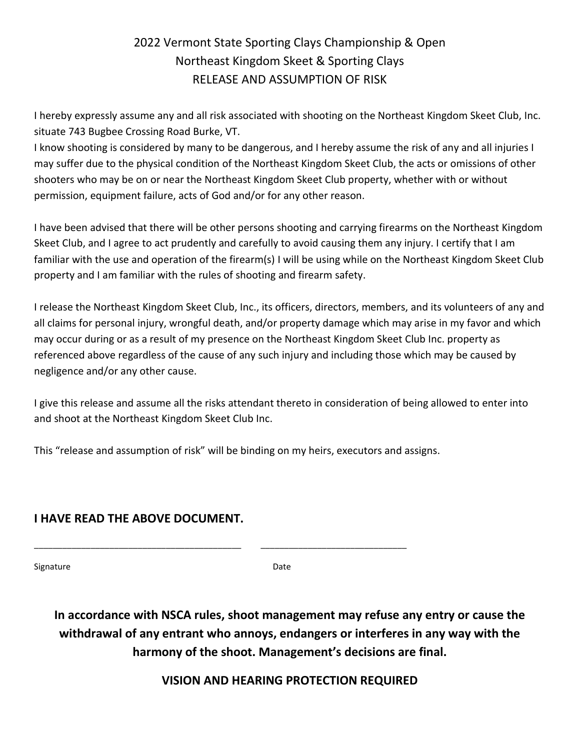### 2022 Vermont State Sporting Clays Championship & Open Northeast Kingdom Skeet & Sporting Clays RELEASE AND ASSUMPTION OF RISK

I hereby expressly assume any and all risk associated with shooting on the Northeast Kingdom Skeet Club, Inc. situate 743 Bugbee Crossing Road Burke, VT.

I know shooting is considered by many to be dangerous, and I hereby assume the risk of any and all injuries I may suffer due to the physical condition of the Northeast Kingdom Skeet Club, the acts or omissions of other shooters who may be on or near the Northeast Kingdom Skeet Club property, whether with or without permission, equipment failure, acts of God and/or for any other reason.

I have been advised that there will be other persons shooting and carrying firearms on the Northeast Kingdom Skeet Club, and I agree to act prudently and carefully to avoid causing them any injury. I certify that I am familiar with the use and operation of the firearm(s) I will be using while on the Northeast Kingdom Skeet Club property and I am familiar with the rules of shooting and firearm safety.

I release the Northeast Kingdom Skeet Club, Inc., its officers, directors, members, and its volunteers of any and all claims for personal injury, wrongful death, and/or property damage which may arise in my favor and which may occur during or as a result of my presence on the Northeast Kingdom Skeet Club Inc. property as referenced above regardless of the cause of any such injury and including those which may be caused by negligence and/or any other cause.

I give this release and assume all the risks attendant thereto in consideration of being allowed to enter into and shoot at the Northeast Kingdom Skeet Club Inc.

This "release and assumption of risk" will be binding on my heirs, executors and assigns.

\_\_\_\_\_\_\_\_\_\_\_\_\_\_\_\_\_\_\_\_\_\_\_\_\_\_\_\_\_\_\_\_\_\_\_\_\_\_\_\_\_\_\_\_ \_\_\_\_\_\_\_\_\_\_\_\_\_\_\_\_\_\_\_\_\_\_\_\_\_\_\_\_\_\_\_

#### **I HAVE READ THE ABOVE DOCUMENT.**

Signature Date

**In accordance with NSCA rules, shoot management may refuse any entry or cause the withdrawal of any entrant who annoys, endangers or interferes in any way with the harmony of the shoot. Management's decisions are final.**

**VISION AND HEARING PROTECTION REQUIRED**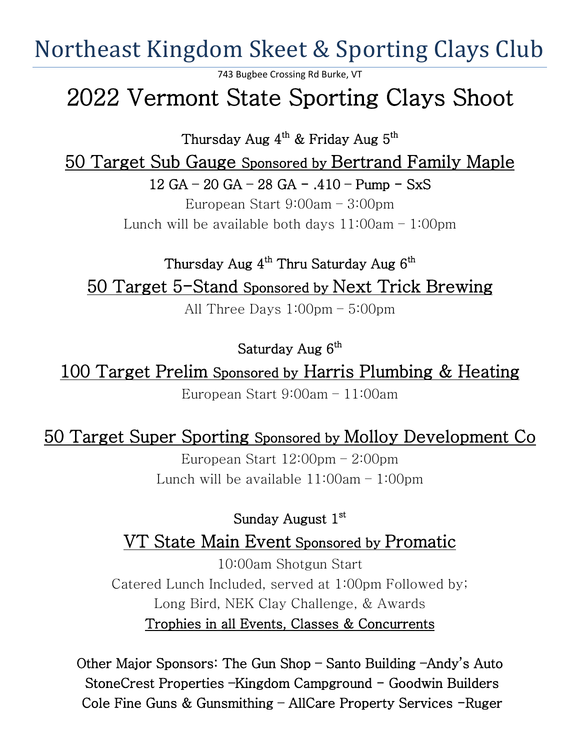Northeast Kingdom Skeet & Sporting Clays Club

743 Bugbee Crossing Rd Burke, VT

# 2022 Vermont State Sporting Clays Shoot

Thursday Aug  $4^{\text{th}}$  & Friday Aug  $5^{\text{th}}$ 

50 Target Sub Gauge Sponsored by Bertrand Family Maple

12 GA – 20 GA – 28 GA - .410 – Pump - SxS

European Start 9:00am – 3:00pm Lunch will be available both days  $11:00$ am  $-1:00$ pm

Thursday Aug  $4^{\text{th}}$  Thru Saturday Aug  $6^{\text{th}}$ 50 Target 5-Stand Sponsored by Next Trick Brewing

All Three Days 1:00pm – 5:00pm

Saturday Aug  $6^{\text{th}}$ 

100 Target Prelim Sponsored by Harris Plumbing & Heating

European Start 9:00am – 11:00am

50 Target Super Sporting Sponsored by Molloy Development Co

European Start 12:00pm – 2:00pm Lunch will be available  $11:00$ am  $-1:00$ pm

Sunday August 1st VT State Main Event Sponsored by Promatic

10:00am Shotgun Start Catered Lunch Included, served at 1:00pm Followed by; Long Bird, NEK Clay Challenge, & Awards Trophies in all Events, Classes & Concurrents

Other Major Sponsors: The Gun Shop – Santo Building –Andy's Auto StoneCrest Properties –Kingdom Campground – Goodwin Builders Cole Fine Guns & Gunsmithing – AllCare Property Services -Ruger